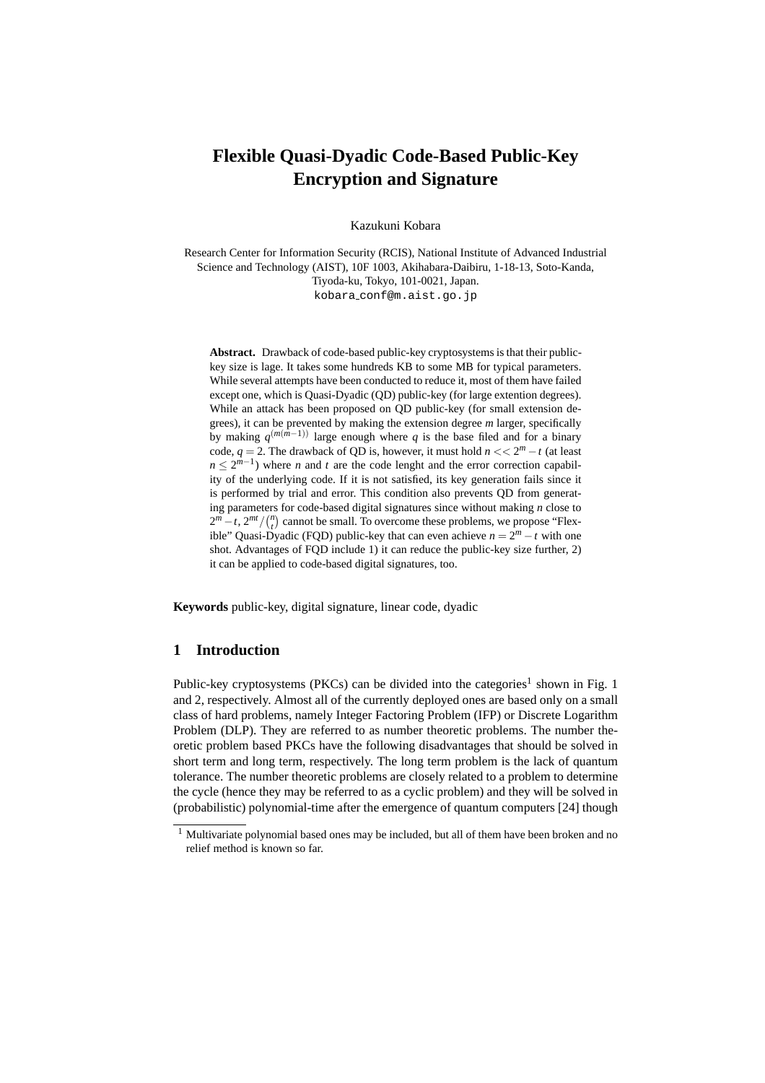# **Flexible Quasi-Dyadic Code-Based Public-Key Encryption and Signature**

Kazukuni Kobara

Research Center for Information Security (RCIS), National Institute of Advanced Industrial Science and Technology (AIST), 10F 1003, Akihabara-Daibiru, 1-18-13, Soto-Kanda, Tiyoda-ku, Tokyo, 101-0021, Japan. kobara conf@m.aist.go.jp

**Abstract.** Drawback of code-based public-key cryptosystems is that their publickey size is lage. It takes some hundreds KB to some MB for typical parameters. While several attempts have been conducted to reduce it, most of them have failed except one, which is Quasi-Dyadic (QD) public-key (for large extention degrees). While an attack has been proposed on QD public-key (for small extension degrees), it can be prevented by making the extension degree *m* larger, specifically by making *q* (*m*(*m−*1)) large enough where *q* is the base filed and for a binary code,  $q = 2$ . The drawback of QD is, however, it must hold  $n \lt 2^m - t$  (at least  $n \leq 2^{m-1}$ ) where *n* and *t* are the code lenght and the error correction capability of the underlying code. If it is not satisfied, its key generation fails since it is performed by trial and error. This condition also prevents QD from generating parameters for code-based digital signatures since without making *n* close to  $2^m - t$ ,  $2^{mt} / {n \choose t}$  cannot be small. To overcome these problems, we propose "Flexible" Quasi-Dyadic (FQD) public-key that can even achieve  $n = 2<sup>m</sup> − t$  with one shot. Advantages of FQD include 1) it can reduce the public-key size further, 2) it can be applied to code-based digital signatures, too.

**Keywords** public-key, digital signature, linear code, dyadic

## **1 Introduction**

Public-key cryptosystems (PKCs) can be divided into the categories<sup>1</sup> shown in Fig. 1 and 2, respectively. Almost all of the currently deployed ones are based only on a small class of hard problems, namely Integer Factoring Problem (IFP) or Discrete Logarithm Problem (DLP). They are referred to as number theoretic problems. The number theoretic problem based PKCs have the following disadvantages that should be solved in short term and long term, respectively. The long term problem is the lack of quantum tolerance. The number theoretic problems are closely related to a problem to determine the cycle (hence they may be referred to as a cyclic problem) and they will be solved in (probabilistic) polynomial-time after the emergence of quantum computers [24] though

<sup>&</sup>lt;sup>1</sup> Multivariate polynomial based ones may be included, but all of them have been broken and no relief method is known so far.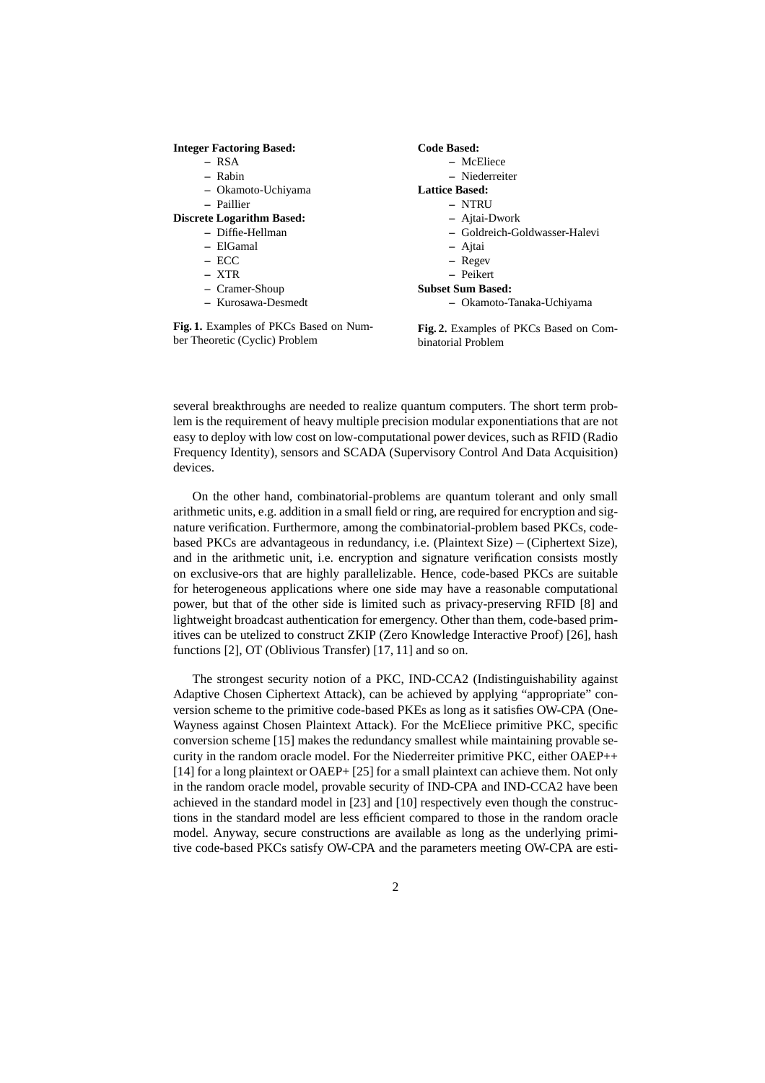#### **Integer Factoring Based:**

- **–** RSA
- **–** Rabin
- **–** Okamoto-Uchiyama
- **–** Paillier
- **Discrete Logarithm Based:**
	- **–** Diffie-Hellman
		- **–** ElGamal
		- **–** ECC
		- **–** XTR
		- **–** Cramer-Shoup
		- **–** Kurosawa-Desmedt

**Fig. 1.** Examples of PKCs Based on Number Theoretic (Cyclic) Problem

#### **Code Based:**

- **–** McEliece
- **–** Niederreiter
- **Lattice Based:**
	- **–** NTRU
		- **–** Ajtai-Dwork
		- **–** Goldreich-Goldwasser-Halevi
		- **–** Ajtai
		- **–** Regev
		- **–** Peikert
- **Subset Sum Based:**
	- **–** Okamoto-Tanaka-Uchiyama

**Fig. 2.** Examples of PKCs Based on Combinatorial Problem

several breakthroughs are needed to realize quantum computers. The short term problem is the requirement of heavy multiple precision modular exponentiations that are not easy to deploy with low cost on low-computational power devices, such as RFID (Radio Frequency Identity), sensors and SCADA (Supervisory Control And Data Acquisition) devices.

On the other hand, combinatorial-problems are quantum tolerant and only small arithmetic units, e.g. addition in a small field or ring, are required for encryption and signature verification. Furthermore, among the combinatorial-problem based PKCs, codebased PKCs are advantageous in redundancy, i.e. (Plaintext Size) *−* (Ciphertext Size), and in the arithmetic unit, i.e. encryption and signature verification consists mostly on exclusive-ors that are highly parallelizable. Hence, code-based PKCs are suitable for heterogeneous applications where one side may have a reasonable computational power, but that of the other side is limited such as privacy-preserving RFID [8] and lightweight broadcast authentication for emergency. Other than them, code-based primitives can be utelized to construct ZKIP (Zero Knowledge Interactive Proof) [26], hash functions [2], OT (Oblivious Transfer) [17, 11] and so on.

The strongest security notion of a PKC, IND-CCA2 (Indistinguishability against Adaptive Chosen Ciphertext Attack), can be achieved by applying "appropriate" conversion scheme to the primitive code-based PKEs as long as it satisfies OW-CPA (One-Wayness against Chosen Plaintext Attack). For the McEliece primitive PKC, specific conversion scheme [15] makes the redundancy smallest while maintaining provable security in the random oracle model. For the Niederreiter primitive PKC, either OAEP++ [14] for a long plaintext or OAEP+ [25] for a small plaintext can achieve them. Not only in the random oracle model, provable security of IND-CPA and IND-CCA2 have been achieved in the standard model in [23] and [10] respectively even though the constructions in the standard model are less efficient compared to those in the random oracle model. Anyway, secure constructions are available as long as the underlying primitive code-based PKCs satisfy OW-CPA and the parameters meeting OW-CPA are esti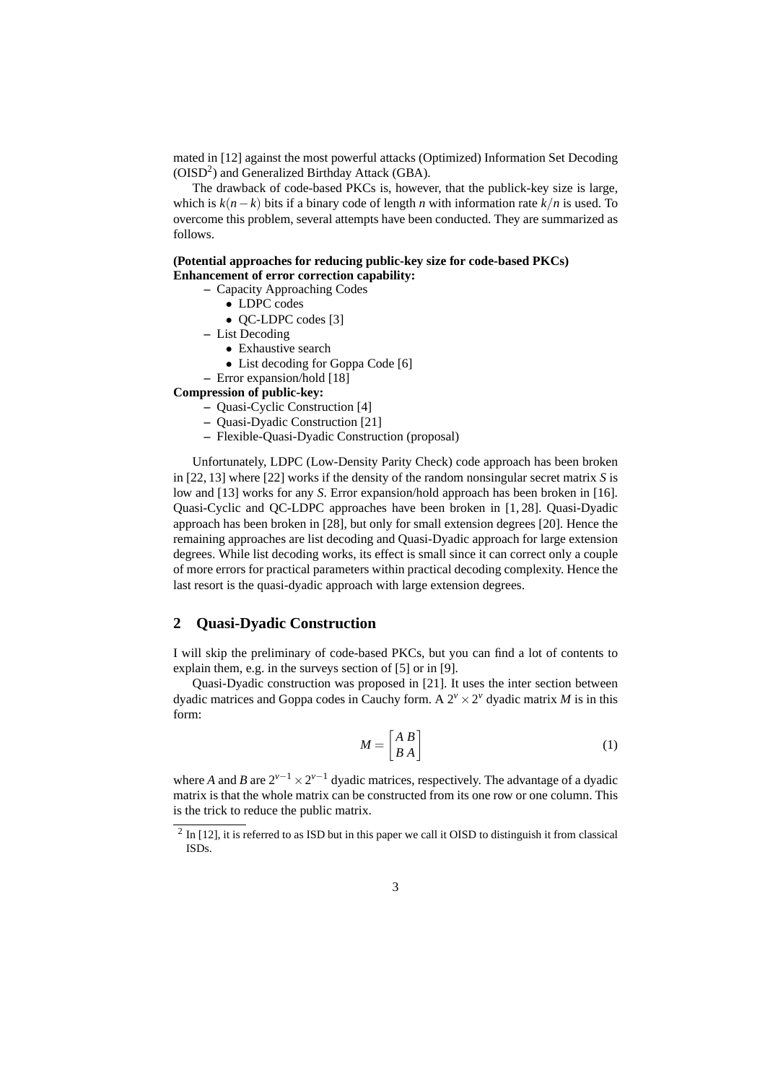mated in [12] against the most powerful attacks (Optimized) Information Set Decoding (OISD<sup>2</sup>) and Generalized Birthday Attack (GBA).

The drawback of code-based PKCs is, however, that the publick-key size is large, which is *k*(*n−k*) bits if a binary code of length *n* with information rate *k/n* is used. To overcome this problem, several attempts have been conducted. They are summarized as follows.

**(Potential approaches for reducing public-key size for code-based PKCs) Enhancement of error correction capability:**

- **–** Capacity Approaching Codes
	- *•* LDPC codes
		- *•* QC-LDPC codes [3]
	- **–** List Decoding
		- *•* Exhaustive search
		- List decoding for Goppa Code [6]
	- **–** Error expansion/hold [18]

**Compression of public-key:**

- **–** Quasi-Cyclic Construction [4]
- **–** Quasi-Dyadic Construction [21]
- **–** Flexible-Quasi-Dyadic Construction (proposal)

Unfortunately, LDPC (Low-Density Parity Check) code approach has been broken in [22, 13] where [22] works if the density of the random nonsingular secret matrix *S* is low and [13] works for any *S*. Error expansion/hold approach has been broken in [16]. Quasi-Cyclic and QC-LDPC approaches have been broken in [1, 28]. Quasi-Dyadic approach has been broken in [28], but only for small extension degrees [20]. Hence the remaining approaches are list decoding and Quasi-Dyadic approach for large extension degrees. While list decoding works, its effect is small since it can correct only a couple of more errors for practical parameters within practical decoding complexity. Hence the last resort is the quasi-dyadic approach with large extension degrees.

#### **2 Quasi-Dyadic Construction**

I will skip the preliminary of code-based PKCs, but you can find a lot of contents to explain them, e.g. in the surveys section of [5] or in [9].

Quasi-Dyadic construction was proposed in [21]. It uses the inter section between dyadic matrices and Goppa codes in Cauchy form. A  $2^v \times 2^v$  dyadic matrix *M* is in this form:

$$
M = \begin{bmatrix} A & B \\ B & A \end{bmatrix} \tag{1}
$$

where *A* and *B* are 2*v−*<sup>1</sup> *×*2 *<sup>v</sup>−*<sup>1</sup> dyadic matrices, respectively. The advantage of a dyadic matrix is that the whole matrix can be constructed from its one row or one column. This is the trick to reduce the public matrix.

 $2 \text{ In } [12]$ , it is referred to as ISD but in this paper we call it OISD to distinguish it from classical ISDs.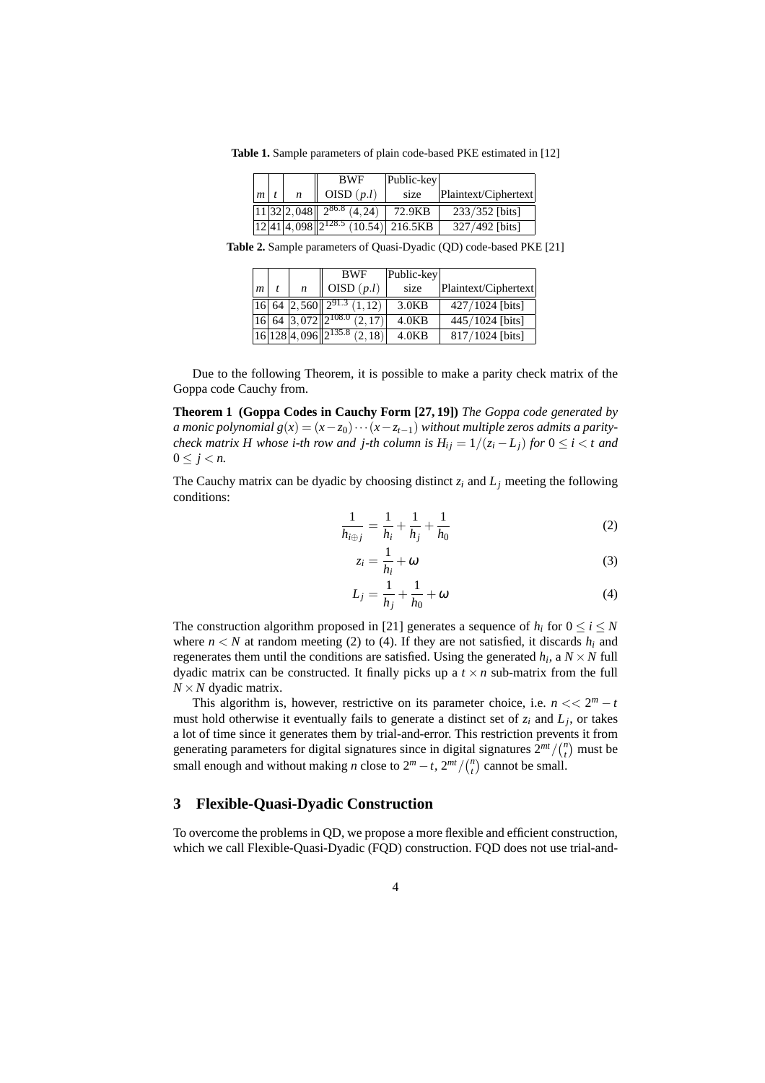**Table 1.** Sample parameters of plain code-based PKE estimated in [12]

|            |  | <b>BWF</b>                                                                                        | Public-key |                      |
|------------|--|---------------------------------------------------------------------------------------------------|------------|----------------------|
| $m \mid t$ |  | OISD $(p.l)$                                                                                      | size       | Plaintext/Ciphertext |
|            |  | $\left[ \frac{11}{32} \right] 2,048 \left[ \right] 2^{86.8} \left( 4,24 \right)$                  | 72.9KB     | 233/352 [bits]       |
|            |  | $\left[ \frac{12}{41} \right]$ 4,098 $\left[ \frac{2^{128.5}}{2^{128.5}} \right]$ (10.54) 216.5KB |            | 327/492 [bits]       |

**Table 2.** Sample parameters of Quasi-Dyadic (QD) code-based PKE [21]

|                |   | <b>BWF</b>                                                           | Public-key         |                      |
|----------------|---|----------------------------------------------------------------------|--------------------|----------------------|
| $\mathfrak{m}$ | n | OISD $(p.l)$                                                         | size               | Plaintext/Ciphertext |
|                |   | $\left 16\right 64$ $\left 2,560\right 2^{91.3}$ $\left(1,12\right)$ | 3.0KB              | $427/1024$ [bits]    |
|                |   | $16\,64\,3,072\,2^{108.0}\,(2,17)$                                   | 4.0KB              | 445/1024 [bits]      |
|                |   | $16 128 4,096 2^{135.8}$ (2, 18)                                     | 4.0 <sub>K</sub> R | 817/1024 [bits]      |

Due to the following Theorem, it is possible to make a parity check matrix of the Goppa code Cauchy from.

**Theorem 1 (Goppa Codes in Cauchy Form [27, 19])** *The Goppa code generated by a* monic polynomial  $g(x) = (x - z_0) \cdots (x - z_{t-1})$  without multiple zeros admits a parity*check matrix H whose i-th row and j-th column is*  $H_{ij} = 1/(z_i - L_j)$  *for*  $0 \le i < t$  and 0 ≤  $j$  < *n*.

The Cauchy matrix can be dyadic by choosing distinct  $z_i$  and  $L_j$  meeting the following conditions:

$$
\frac{1}{h_{i\oplus j}} = \frac{1}{h_i} + \frac{1}{h_j} + \frac{1}{h_0}
$$
 (2)

$$
z_i = \frac{1}{h_i} + \omega \tag{3}
$$

$$
L_j = \frac{1}{h_j} + \frac{1}{h_0} + \omega \tag{4}
$$

The construction algorithm proposed in [21] generates a sequence of  $h_i$  for  $0 \le i \le N$ where  $n < N$  at random meeting (2) to (4). If they are not satisfied, it discards  $h_i$  and regenerates them until the conditions are satisfied. Using the generated  $h_i$ , a  $N \times N$  full dyadic matrix can be constructed. It finally picks up a  $t \times n$  sub-matrix from the full  $N \times N$  dyadic matrix.

This algorithm is, however, restrictive on its parameter choice, i.e.  $n \ll 2^m - t$ must hold otherwise it eventually fails to generate a distinct set of *z<sup>i</sup>* and *L<sup>j</sup>* , or takes a lot of time since it generates them by trial-and-error. This restriction prevents it from generating parameters for digital signatures since in digital signatures  $2^{mt}/\binom{n}{t}$  must be small enough and without making *n* close to  $2^m - t$ ,  $2^{mt} / {n \choose t}$  cannot be small.

## **3 Flexible-Quasi-Dyadic Construction**

To overcome the problems in QD, we propose a more flexible and efficient construction, which we call Flexible-Quasi-Dyadic (FQD) construction. FQD does not use trial-and-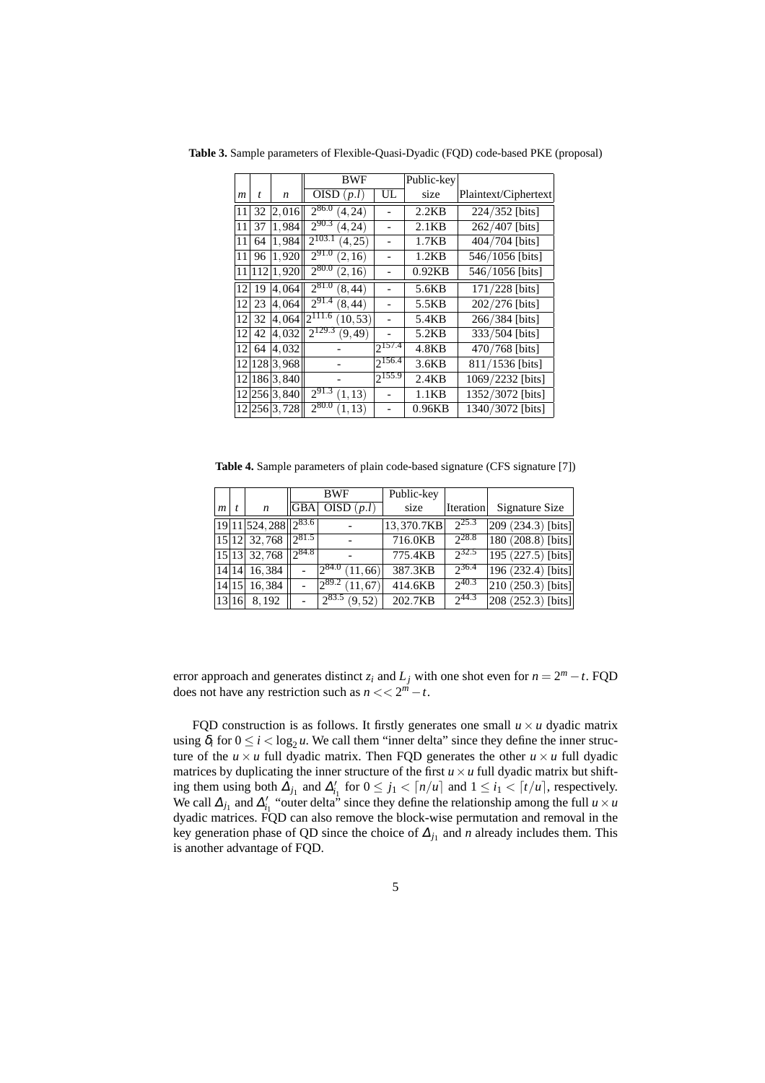|                  |     |              | <b>BWF</b>              |             | Public-key |                      |
|------------------|-----|--------------|-------------------------|-------------|------------|----------------------|
| $\boldsymbol{m}$ | t   | n            | <b>OISD</b><br>(p.l)    | UL          | size       | Plaintext/Ciphertext |
| 11               | 32  | 2,016        | $2^{86.0}$<br>(4, 24)   |             | 2.2KB      | 224/352 [bits]       |
| 11               | 37  | 1,984        | $2^{90.3}$<br>(4, 24)   |             | 2.1KB      | 262/407 [bits]       |
| 11               | 64  | 1,984        | $2^{103.1}$<br>(4, 25)  |             | 1.7KB      | 404/704 [bits]       |
| 11               | 96  | 1,920        | $2^{91.0}$<br>(2, 16)   |             | 1.2KB      | 546/1056 [bits]      |
| 11               | 112 | 1,920        | $2^{80.0}$<br>(2, 16)   |             | 0.92KB     | 546/1056 [bits]      |
| 12               | 19  | 4,064        | $2^{81.0}$<br>(8, 44)   |             | 5.6KB      | 171/228 [bits]       |
| 12               | 23  | 4,064        | $2^{91.4}$<br>(8, 44)   |             | 5.5KB      | 202/276 [bits]       |
| 12               | 32  | 4,064        | $2^{111.6}$<br>(10, 53) |             | 5.4KB      | 266/384 [bits]       |
| 12               | 42  | 4,032        | $2^{129.3}$<br>(9, 49)  |             | 5.2KB      | 333/504 [bits]       |
| 12               | 64  | 4,032        |                         | $2^{157.4}$ | 4.8KB      | 470/768 [bits]       |
| 2                |     | 128 3.968    |                         | $2^{156.4}$ | 3.6KB      | 811/1536 [bits]      |
| 12               |     | 186 3.840    |                         | $2^{155.9}$ | 2.4KB      | 1069/2232 [bits]     |
|                  |     | 12 256 3,840 | $2^{91.3}$<br>(1, 13)   |             | 1.1KB      | 1352/3072 [bits]     |
|                  |     | 12 256 3,728 | $2^{80.0}$<br>(1, 13)   |             | 0.96KB     | 1340/3072 [bits]     |

**Table 3.** Sample parameters of Flexible-Quasi-Dyadic (FQD) code-based PKE (proposal)

**Table 4.** Sample parameters of plain code-based signature (CFS signature [7])

|                  |       |                           | <b>BWF</b> |                        | Public-key |                  |                                 |
|------------------|-------|---------------------------|------------|------------------------|------------|------------------|---------------------------------|
| $\boldsymbol{m}$ |       | n                         | GBA        | OISD $(p.l)$           | size       | <b>Iteration</b> | Signature Size                  |
|                  |       | $19 11 524,288 2^{83.6} $ |            |                        | 13,370.7KB | $2^{25.3}$       | $ 209 \ (234.3) \ [bits]$       |
|                  |       | 15 12 32,768              | 7281.5     |                        | 716.0KB    | $2^{28.8}$       | $ 180 (208.8)$ [bits]           |
|                  |       | 15 13 32,768              | $2^{84.8}$ |                        | 775.4KB    | $2^{32.5}$       | $\sqrt{195 (227.5)}$ [bits]     |
|                  |       | 14 14 16,384              |            | $2^{84.0}$<br>11,66    | 387.3KB    | $2^{36.4}$       | $\overline{196}$ (232.4) [bits] |
|                  |       | 14 15 16,384              |            | $1289.2$ .<br>(11, 67) | 414.6KB    | $2^{40.3}$       | $\sqrt{210 (250.3)$ [bits]      |
|                  | 13 16 | 8,192                     |            | $2^{83.5}$<br>(9, 52)  | 202.7KB    | $2^{44.3}$       | $\sqrt{208}$ (252.3) [bits]     |

error approach and generates distinct  $z_i$  and  $L_j$  with one shot even for  $n = 2^m - t$ . FQD does not have any restriction such as  $n \lt 2^m - t$ .

FQD construction is as follows. It firstly generates one small  $u \times u$  dyadic matrix using  $\delta_i$  for  $0 \le i < \log_2 u$ . We call them "inner delta" since they define the inner structure of the  $u \times u$  full dyadic matrix. Then FQD generates the other  $u \times u$  full dyadic matrices by duplicating the inner structure of the first  $u \times u$  full dyadic matrix but shifting them using both  $\Delta_{j_1}$  and  $\Delta'_{i_1}$  for  $0 \leq j_1 < \lceil n/u \rceil$  and  $1 \leq i_1 < \lceil t/u \rceil$ , respectively. We call  $\Delta_{j_1}$  and  $\Delta'_{i_1}$  "outer delta" since they define the relationship among the full  $u \times u$ dyadic matrices. FQD can also remove the block-wise permutation and removal in the key generation phase of QD since the choice of  $\Delta_{j_1}$  and *n* already includes them. This is another advantage of FQD.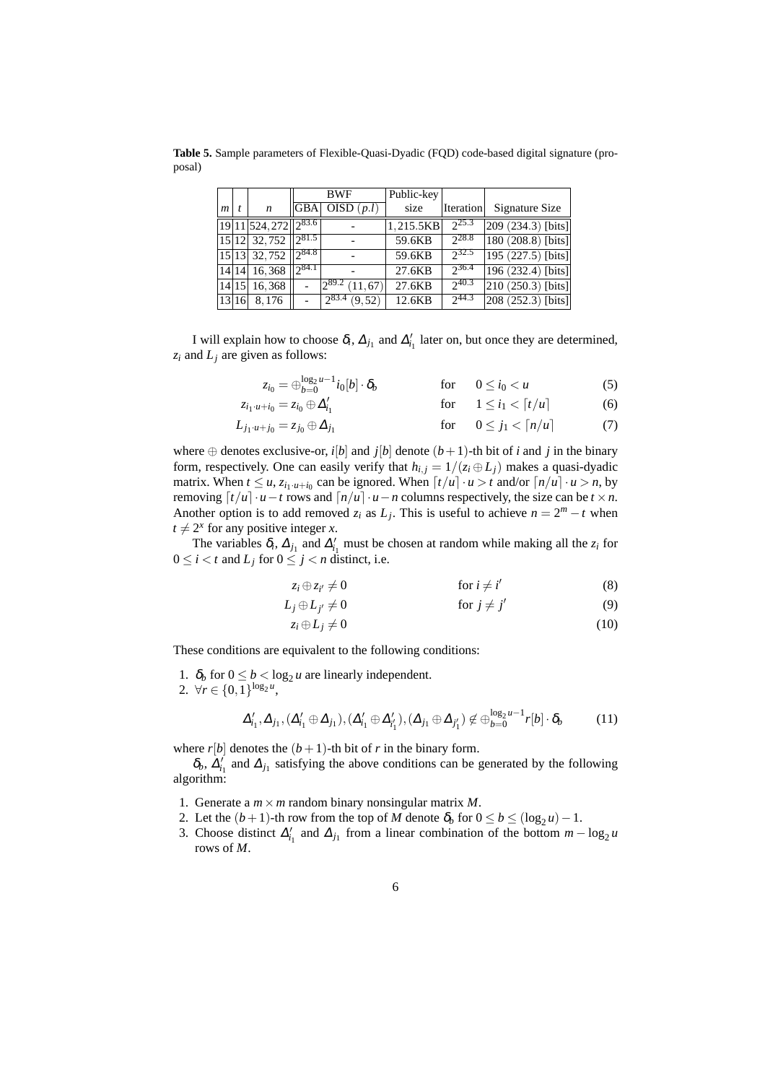**Table 5.** Sample parameters of Flexible-Quasi-Dyadic (FQD) code-based digital signature (proposal)

|                |       |                          | <b>BWF</b>     |                          | Public-key |            |                                 |
|----------------|-------|--------------------------|----------------|--------------------------|------------|------------|---------------------------------|
| $\mathfrak{m}$ |       | $\boldsymbol{n}$         | <b>GBA</b>     | OISD $(p.l)$             | size       | Iteration  | Signature Size                  |
|                |       | $19 11 524,272 2^{83.6}$ |                |                          | 1.215.5KB  | 225.3      | 209 (234.3) [bits]              |
|                |       | 15 12 32,752             | 281.5          |                          | 59.6KB     | 228.8      | $ 180(208.8)$ [bits]            |
|                |       | 15 13 32,752             | $\sqrt{984.8}$ |                          | 59.6KB     | $2^{32.5}$ | $\sqrt{195 (227.5)}$ [bits]     |
|                |       | 14 14 16,368             | 284.1          |                          | 27.6KB     | $2^{36.4}$ | $ 196 (232.4)$ [bits]]          |
|                |       | 14 15 16,368             |                | 1289.2<br>(11, 67)       | 27.6KB     | 240.3      | $\overline{210 (250.3)}$ [bits] |
|                | 13 16 | 8,176                    |                | $\sqrt{2^{83.4} (9,52)}$ | 12.6KB     | $2^{44.3}$ | $\sqrt{208(252.3)$ [bits]       |

I will explain how to choose  $\delta_i$ ,  $\Delta_{j_1}$  and  $\Delta'_{i_1}$  later on, but once they are determined,  $z_i$  and  $L_i$  are given as follows:

$$
z_{i_0} = \bigoplus_{b=0}^{\log_2 u - 1} i_0[b] \cdot \delta_b \qquad \text{for} \qquad 0 \le i_0 < u \tag{5}
$$

$$
z_{i_1\cdot u+i_0}=z_{i_0}\oplus \Delta'_{i_1} \qquad \qquad \text{for} \qquad 1\leq i_1<\lceil t/u\rceil \qquad \qquad (6)
$$

$$
L_{j_1 \cdot u + j_0} = z_{j_0} \oplus \Delta_{j_1} \qquad \text{for} \qquad 0 \le j_1 < \lceil n/u \rceil \tag{7}
$$

where  $\oplus$  denotes exclusive-or, *i*[*b*] and *j*[*b*] denote  $(b+1)$ -th bit of *i* and *j* in the binary form, respectively. One can easily verify that  $h_{i,j} = 1/(z_i \oplus L_j)$  makes a quasi-dyadic matrix. When  $t \le u$ ,  $z_{i_1 \cdot u + i_0}$  can be ignored. When  $\lceil t/u \rceil \cdot u > t$  and/or  $\lceil n/u \rceil \cdot u > n$ , by removing  $\lceil t/u \rceil \cdot u - t$  rows and  $\lceil n/u \rceil \cdot u - n$  columns respectively, the size can be  $t \times n$ . Another option is to add removed  $z_i$  as  $L_j$ . This is useful to achieve  $n = 2^m - t$  when  $t \neq 2^x$  for any positive integer *x*.

The variables  $\delta_i$ ,  $\Delta_{j_1}$  and  $\Delta'_{i_1}$  must be chosen at random while making all the  $z_i$  for  $0 \le i < t$  and  $L_i$  for  $0 \le j < n$  distinct, i.e.

$$
z_i \oplus z_{i'} \neq 0 \qquad \qquad \text{for } i \neq i' \qquad \qquad (8)
$$

$$
L_j \oplus L_{j'} \neq 0 \qquad \text{for } j \neq j' \qquad (9)
$$

$$
z_i \oplus L_j \neq 0 \tag{10}
$$

These conditions are equivalent to the following conditions:

1.  $\delta_b$  for  $0 \leq b < \log_2 u$  are linearly independent.

2.  $\forall r \in \{0,1\}^{\log_2 u}$ ,

$$
\Delta'_{i_1}, \Delta_{j_1}, (\Delta'_{i_1} \oplus \Delta_{j_1}), (\Delta'_{i_1} \oplus \Delta'_{i'_1}), (\Delta_{j_1} \oplus \Delta_{j'_1}) \notin \bigoplus_{b=0}^{\log_2 u - 1} r[b] \cdot \delta_b \tag{11}
$$

where  $r[b]$  denotes the  $(b+1)$ -th bit of  $r$  in the binary form.

 $\delta_b$ ,  $\Delta'_{i_1}$  and  $\Delta_{j_1}$  satisfying the above conditions can be generated by the following algorithm:

- 1. Generate a *m×m* random binary nonsingular matrix *M*.
- 2. Let the  $(b+1)$ -th row from the top of *M* denote  $\delta_b$  for  $0 \le b \le (\log_2 u) 1$ .
- 3. Choose distinct  $\Delta'_{i_1}$  and  $\Delta_{j_1}$  from a linear combination of the bottom  $m \log_2 u$ rows of *M*.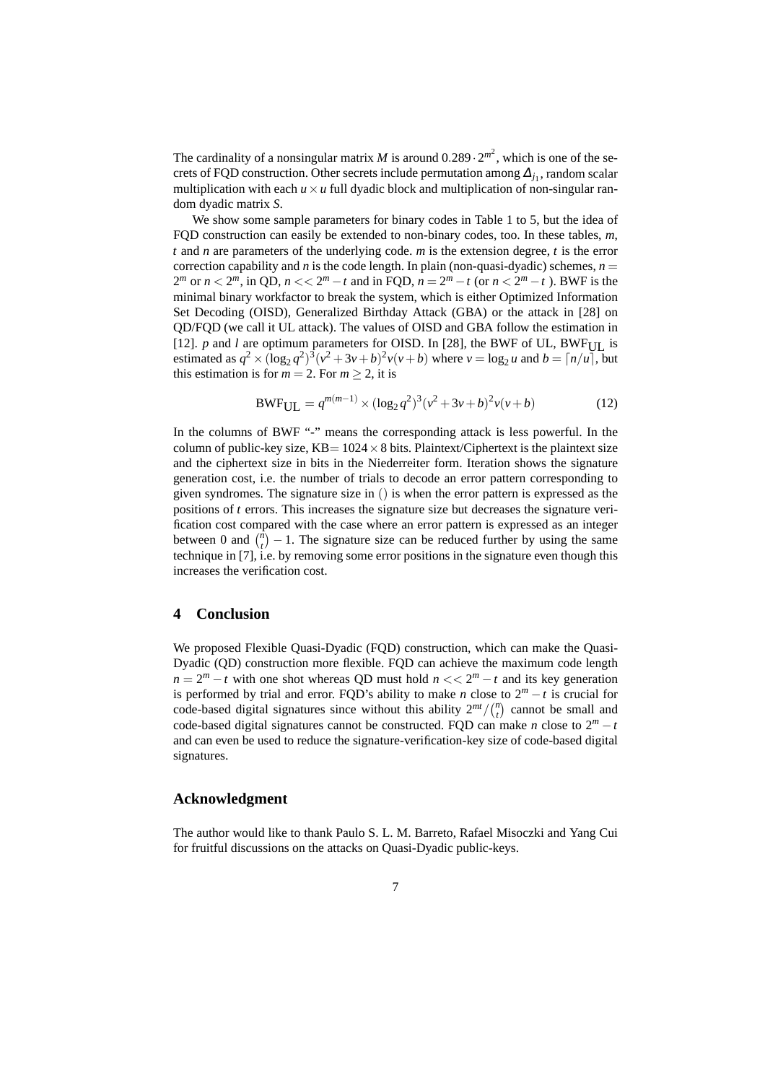The cardinality of a nonsingular matrix *M* is around  $0.289 \cdot 2^{m^2}$ , which is one of the secrets of FQD construction. Other secrets include permutation among  $\Delta_{j_1}$ , random scalar multiplication with each  $u \times u$  full dyadic block and multiplication of non-singular random dyadic matrix *S*.

We show some sample parameters for binary codes in Table 1 to 5, but the idea of FQD construction can easily be extended to non-binary codes, too. In these tables, *m*, *t* and *n* are parameters of the underlying code. *m* is the extension degree, *t* is the error correction capability and *n* is the code length. In plain (non-quasi-dyadic) schemes,  $n =$ 2<sup>*m*</sup> or *n* < 2<sup>*m*</sup>, in QD, *n* << 2<sup>*m*</sup> − *t* and in FQD, *n* = 2<sup>*m*</sup> − *t* (or *n* < 2<sup>*m*</sup> − *t*). BWF is the minimal binary workfactor to break the system, which is either Optimized Information Set Decoding (OISD), Generalized Birthday Attack (GBA) or the attack in [28] on QD/FQD (we call it UL attack). The values of OISD and GBA follow the estimation in [12]. *p* and *l* are optimum parameters for OISD. In [28], the BWF of UL, BWF<sub>III</sub> is estimated as  $q^2 \times (\log_2 q^2)^3 (v^2 + 3v + b)^2 v (v + b)$  where  $v = \log_2 u$  and  $b = \lceil n/u \rceil$ , but this estimation is for  $m = 2$ . For  $m > 2$ , it is

$$
BWF_{UL} = q^{m(m-1)} \times (\log_2 q^2)^3 (\nu^2 + 3\nu + b)^2 \nu(\nu + b)
$$
 (12)

In the columns of BWF "-" means the corresponding attack is less powerful. In the column of public-key size, KB= 1024*×*8 bits. Plaintext/Ciphertext is the plaintext size and the ciphertext size in bits in the Niederreiter form. Iteration shows the signature generation cost, i.e. the number of trials to decode an error pattern corresponding to given syndromes. The signature size in () is when the error pattern is expressed as the positions of *t* errors. This increases the signature size but decreases the signature verification cost compared with the case where an error pattern is expressed as an integer between 0 and  $\binom{n}{t} - 1$ . The signature size can be reduced further by using the same technique in [7], i.e. by removing some error positions in the signature even though this increases the verification cost.

## **4 Conclusion**

We proposed Flexible Quasi-Dyadic (FQD) construction, which can make the Quasi-Dyadic (QD) construction more flexible. FQD can achieve the maximum code length  $n = 2<sup>m</sup> - t$  with one shot whereas QD must hold  $n \lt 2<sup>m</sup> - t$  and its key generation is performed by trial and error. FQD's ability to make *n* close to  $2^m - t$  is crucial for code-based digital signatures since without this ability  $2^{mt}/\binom{n}{t}$  cannot be small and code-based digital signatures cannot be constructed. FQD can make *n* close to  $2^m - t$ and can even be used to reduce the signature-verification-key size of code-based digital signatures.

## **Acknowledgment**

The author would like to thank Paulo S. L. M. Barreto, Rafael Misoczki and Yang Cui for fruitful discussions on the attacks on Quasi-Dyadic public-keys.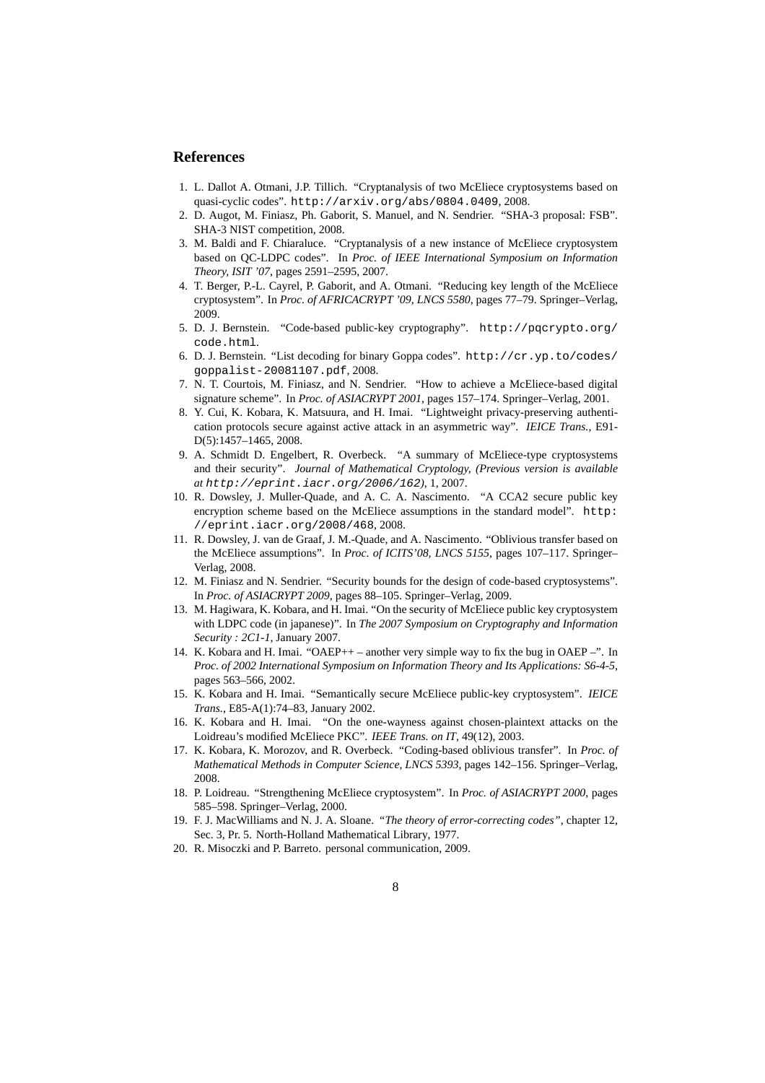## **References**

- 1. L. Dallot A. Otmani, J.P. Tillich. "Cryptanalysis of two McEliece cryptosystems based on quasi-cyclic codes". http://arxiv.org/abs/0804.0409, 2008.
- 2. D. Augot, M. Finiasz, Ph. Gaborit, S. Manuel, and N. Sendrier. "SHA-3 proposal: FSB". SHA-3 NIST competition, 2008.
- 3. M. Baldi and F. Chiaraluce. "Cryptanalysis of a new instance of McEliece cryptosystem based on QC-LDPC codes". In *Proc. of IEEE International Symposium on Information Theory, ISIT '07*, pages 2591–2595, 2007.
- 4. T. Berger, P.-L. Cayrel, P. Gaborit, and A. Otmani. "Reducing key length of the McEliece cryptosystem". In *Proc. of AFRICACRYPT '09, LNCS 5580*, pages 77–79. Springer–Verlag, 2009.
- 5. D. J. Bernstein. "Code-based public-key cryptography". http://pqcrypto.org/ code.html.
- 6. D. J. Bernstein. "List decoding for binary Goppa codes". http://cr.yp.to/codes/ goppalist-20081107.pdf, 2008.
- 7. N. T. Courtois, M. Finiasz, and N. Sendrier. "How to achieve a McEliece-based digital signature scheme". In *Proc. of ASIACRYPT 2001*, pages 157–174. Springer–Verlag, 2001.
- 8. Y. Cui, K. Kobara, K. Matsuura, and H. Imai. "Lightweight privacy-preserving authentication protocols secure against active attack in an asymmetric way". *IEICE Trans.*, E91- D(5):1457–1465, 2008.
- 9. A. Schmidt D. Engelbert, R. Overbeck. "A summary of McEliece-type cryptosystems and their security". *Journal of Mathematical Cryptology, (Previous version is available at* http://eprint.iacr.org/2006/162*)*, 1, 2007.
- 10. R. Dowsley, J. Muller-Quade, and A. C. A. Nascimento. "A CCA2 secure public key encryption scheme based on the McEliece assumptions in the standard model". http: //eprint.iacr.org/2008/468, 2008.
- 11. R. Dowsley, J. van de Graaf, J. M.-Quade, and A. Nascimento. "Oblivious transfer based on the McEliece assumptions". In *Proc. of ICITS'08, LNCS 5155*, pages 107–117. Springer– Verlag, 2008.
- 12. M. Finiasz and N. Sendrier. "Security bounds for the design of code-based cryptosystems". In *Proc. of ASIACRYPT 2009*, pages 88–105. Springer–Verlag, 2009.
- 13. M. Hagiwara, K. Kobara, and H. Imai. "On the security of McEliece public key cryptosystem with LDPC code (in japanese)". In *The 2007 Symposium on Cryptography and Information Security : 2C1-1*, January 2007.
- 14. K. Kobara and H. Imai. "OAEP++ another very simple way to fix the bug in OAEP –". In *Proc. of 2002 International Symposium on Information Theory and Its Applications: S6-4-5*, pages 563–566, 2002.
- 15. K. Kobara and H. Imai. "Semantically secure McEliece public-key cryptosystem". *IEICE Trans.*, E85-A(1):74–83, January 2002.
- 16. K. Kobara and H. Imai. "On the one-wayness against chosen-plaintext attacks on the Loidreau's modified McEliece PKC". *IEEE Trans. on IT*, 49(12), 2003.
- 17. K. Kobara, K. Morozov, and R. Overbeck. "Coding-based oblivious transfer". In *Proc. of Mathematical Methods in Computer Science, LNCS 5393*, pages 142–156. Springer–Verlag, 2008.
- 18. P. Loidreau. "Strengthening McEliece cryptosystem". In *Proc. of ASIACRYPT 2000*, pages 585–598. Springer–Verlag, 2000.
- 19. F. J. MacWilliams and N. J. A. Sloane. *"The theory of error-correcting codes"*, chapter 12, Sec. 3, Pr. 5. North-Holland Mathematical Library, 1977.
- 20. R. Misoczki and P. Barreto. personal communication, 2009.